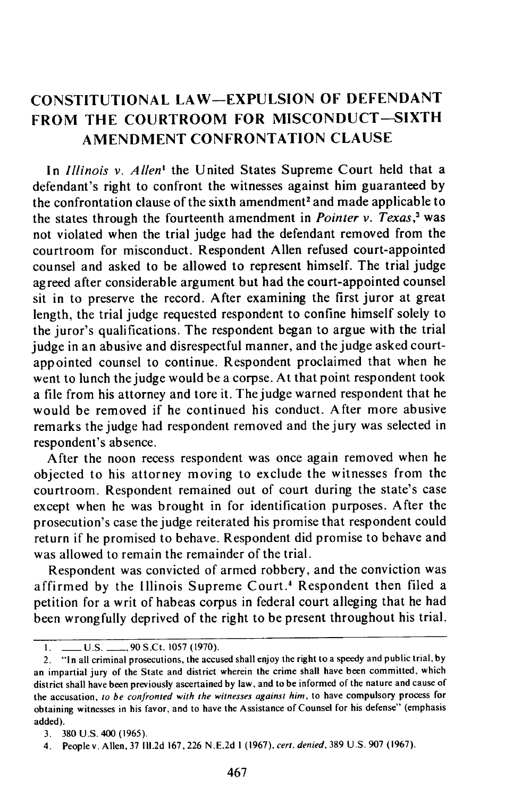## **CONSTITUTIONAL LAW-EXPULSION** OF **DEFENDANT FROM THE COURTROOM FOR MISCONDUCT-SIXTH AMENDMENT** CONFRONTATION **CLAUSE**

In *Illinois v. Allen'* the United States Supreme Court held that a defendant's right to confront the witnesses against him guaranteed **by** the confrontation clause of the sixth amendment' and made applicable to the states through the fourteenth amendment in *Pointer v. Texas,3* was not violated when the trial judge had the defendant removed from the courtroom for misconduct. Respondent Allen refused court-appointed counsel and asked to be allowed to represent himself. The trial judge agreed after considerable argument but had the court-appointed counsel sit in to preserve the record. After examining the first juror at great length, the trial judge requested respondent to confine himself solely to the juror's qualifications. The respondent began to argue with the trial judge in an abusive and disrespectful manner, and the judge asked courtappointed counsel to continue. Respondent proclaimed that when he went to lunch the judge would be a corpse. At that point respondent took a file from his attorney and tore it. The judge warned respondent that he would be removed if he continued his conduct. After more abusive remarks the judge had respondent removed and the jury was selected in respondent's absence.

After the noon recess respondent was once again removed when he objected to his attorney moving to exclude the witnesses from the courtroom. Respondent remained out of court during the state's case except when he was brought in for identification purposes. After the prosecution's case the judge reiterated his promise that respondent could return if he promised to behave. Respondent did promise to behave and was allowed to remain the remainder of the trial.

Respondent was convicted of armed robbery, and the conviction was affirmed by the Illinois Supreme Court.4 Respondent then filed a petition for a writ of habeas corpus in federal court alleging that he had been wrongfully deprived of the right to be present throughout his trial.

**<sup>1.</sup> \_\_\_\_ U.S. \_\_\_\_, 90 S.Ct. 1057 (1970).** 

<sup>2.</sup> **"1** n all criminal prosecutions, the accused shall enjoy the right to a speedy and public trial, by an impartial jury of the State and district wherein the crime shall have been committed, which district shall have been previously ascertained by law, and to be informed of the nature and cause of the accusation, to be confronted with the witnesses against him, to have compulsory process for obtaining witnesses in his favor, and to have the Assistance of Counsel for his defense" (emphasis added).

<sup>3. 380</sup> U.S. 400 (1965).

<sup>4.</sup> Peoplev. Allen, 37 **111.2d** 167,226 N.E.2d **1** (1967), cert. denied. 389 U.S.907 (1967).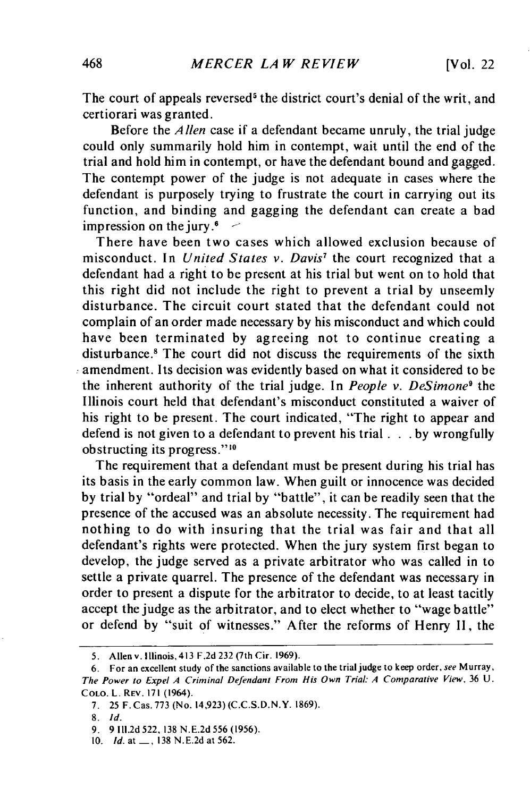The court of appeals reversed<sup>5</sup> the district court's denial of the writ, and certiorari was granted.

Before the *Allen* case if a defendant became unruly, the trial judge could only summarily hold him in contempt, wait until the end of the trial and hold him in contempt, or have the defendant bound and gagged. The contempt power of the judge is not adequate in cases where the defendant is purposely trying to frustrate the court in carrying out its function, and binding and gagging the defendant can create a bad impression on the jury. $6 -$ 

There have been two cases which allowed exclusion because of misconduct. In *United States v. Davis7* the court recognized that a defendant had a right to be present at his trial but went on to hold that this right did not include the right to prevent a trial by unseemly disturbance. The circuit court stated that the defendant could not complain of an order made necessary by his misconduct and which could have been terminated by agreeing not to continue creating a disturbance.<sup>8</sup> The court did not discuss the requirements of the sixth  $\alpha$  amendment. Its decision was evidently based on what it considered to be the inherent authority of the trial judge. In *People v. DeSimone9* the Illinois court held that defendant's misconduct constituted a waiver of his right to be present. The court indicated, "The right to appear and defend is not given to a defendant to prevent his trial **. . .** by wrongfully obstructing its progress."10

The requirement that a defendant must be present during his trial has its basis in the early common law. When guilt or innocence was decided by trial by "ordeal" and trial by "battle", it can be readily seen that the presence of the accused was an absolute necessity. The requirement had nothing to do with insuring that the trial was fair and that all defendant's rights were protected. When the jury system first began to develop, the judge served as a private arbitrator who was called in to settle a private quarrel. The presence of the defendant was necessary in order to present a dispute for the arbitrator to decide, to at least tacitly accept the judge as the arbitrator, and to elect whether to "wage battle" or defend by "suit of witnesses." After the reforms of Henry II, the

<sup>5.</sup> Allen v. Illinois, 413 F.2d 232 (7th Cir. 1969).

<sup>6.</sup> For an excellent study of the sanctions available to the trial judge to keep order, *see* Murray, The *Power to* Expel *A* Criminal Defendant From His Own Trial: A Comparative View, 36 U. **COLO.** L. REV. 171 (1964).

**<sup>7.</sup>** 25 F. Cas. 773 (No. 14,923) **(C.C.S.D.N.Y.** 1869).

**<sup>8.</sup> Id.**

**<sup>9.</sup>** 9 **111.2d** 522, **138 N.E.2d** 556 (1956).

*<sup>10.</sup> Id.* at **-\_, 138 N.E.2d** at 562.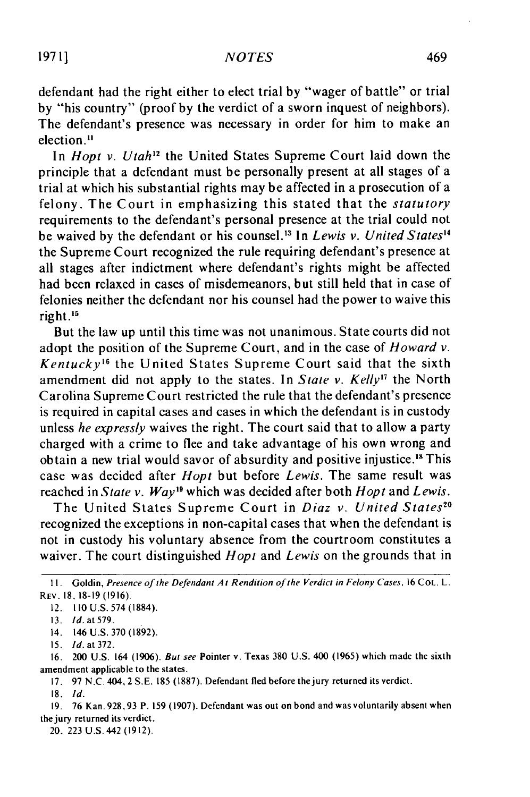defendant had the right either to elect trial by "wager of battle" or trial by "his country" (proof by the verdict of a sworn inquest of neighbors). The defendant's presence was necessary in order for him to make an election."

In *Hopt v. Utah*<sup>12</sup> the United States Supreme Court laid down the principle that a defendant must be personally present at all stages of a trial at which his substantial rights may be affected in a prosecution of a felony. The Court in emphasizing this stated that the *statutory* requirements to the defendant's personal presence at the trial could not be waived by the defendant or his counsel. 13 In *Lewis v. United States4* the Supreme Court recognized the rule requiring defendant's presence at all stages after indictment where defendant's rights might be affected had been relaxed in cases of misdemeanors, but still held that in case of felonies neither the defendant nor his counsel had the power to waive this right.'

But the law up until this time was not unanimous. State courts did not adopt the position of the Supreme Court, and in the case of *Howard v. Kentucky"* the United States Supreme Court said that the sixth amendment did not apply to the states. In *State v. Kelly*<sup>17</sup> the North Carolina Supreme Court restricted the rule that the defendant's presence is required in capital cases and cases in which the defendant is in custody unless *he expressly* waives the right. The court said that to allow a party charged with a crime to flee and take advantage of his own wrong and obtain a new trial would savor of absurdity and positive injustice.<sup>18</sup> This case was decided after *Hopt* but before *Lewis.* The same result was reached in *State v. Way"* which was decided after both *Hopt* and *Lewis.*

The United States Supreme Court in *Diaz v. United States"0* recognized the exceptions in non-capital cases that when the defendant is not in custody his voluntary absence from the courtroom constitutes a waiver. The court distinguished *Hopt* and *Lewis* on the grounds that in

18. **Id.**

**<sup>1</sup>I.** Goldin, Presence of the Defendant A : Rendition of the Verdict in Felony Cases, 16 **COL.** L. REV. **18, 18-19** (1916).

<sup>12.</sup> **II0** U.S. 574 (1884).

<sup>13.</sup> *Id.* at 579.

<sup>14. 146</sup> U.S. 370 (1892).

<sup>15.</sup> *Id. at* 372.

<sup>16. 200</sup> U.S. 164 (1906). *But see* Pointer v. Texas 380 U.S. 400 (1965) which made the sixth amendment applicable to the states.

<sup>17. 97</sup> N.C. 404, 2 S.E. 185 (1887). Defendant fled before thejury returned its verdict.

<sup>19. 76</sup> Kan. 928,93 P. 159 (1907). Defendant was out on bond and was voluntarily absent when the jury returned its verdict.

<sup>20. 223</sup> U.S. 442 (1912).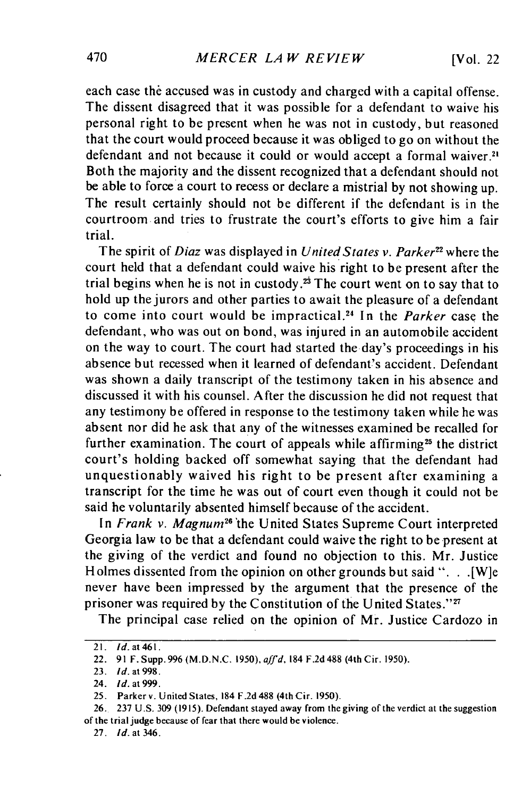each case the accused was in custody and charged with a capital offense. The dissent disagreed that it was possible for a defendant to waive his personal right to be present when he was not in custody, but reasoned that the court would proceed because it was obliged to go on without the defendant and not because it could or would accept a formal waiver.<sup>21</sup> Both the majority and the dissent recognized that a defendant should not be able to force a court to recess or declare a mistrial by not showing up. The result certainly should not be different if the defendant is in the courtroom and tries to frustrate the court's efforts to give him a fair trial.

The spirit of *Diaz* was displayed in *United States v. Parker22* where the court held that a defendant could waive his right to be present after the trial begins when he is not in custody.<sup>23</sup> The court went on to say that to hold up the jurors and other parties to await the pleasure of a defendant to come into court would be impractical. 24 In the *Parker* case the defendant, who was out on bond, was injured in an automobile accident on the way to court. The court had started the day's proceedings in his absence but recessed when it learned of defendant's accident. Defendant was shown a daily transcript of the testimony taken in his absence and discussed it with his counsel. After the discussion he did not request that any testimony be offered in response to the testimony taken while he was absent nor did he ask that any of the witnesses examined be recalled for further examination. The court of appeals while affirming<sup>25</sup> the district court's holding backed off somewhat saying that the defendant had unquestionably waived his right to be present after examining a transcript for the time he was out of court even though it could not be said he voluntarily absented himself because of the accident.

In *Frank v. Magnum<sup>26</sup>* the United States Supreme Court interpreted Georgia law to be that a defendant could waive the right to be present at the giving of the verdict and found no objection to this. Mr. Justice Holmes dissented from the opinion on other grounds but said ". . . [W]e never have been impressed by the argument that the presence of the prisoner was required by the Constitution of the United States."27

The principal case relied on the opinion of Mr. Justice Cardozo in

<sup>21.</sup> **Id.** at **461.**

<sup>22. 91</sup> F. Supp. 996 (M.D.N.C. 1950), affd, 184 F.2d 488 (4th Cir. 1950).

<sup>23.</sup> **Id.** *at 998.*

<sup>24.</sup> **Id.** at **999.**

<sup>25.</sup> Parker v. United States, 184 F.2d 488 (4th Cir. 1950).

<sup>26. 237</sup> U.S. 309 (1915). Defendant stayed away from the giving of the verdict at the suggestion of the trial judge because of fear that there would be violence.

<sup>27.</sup> *Id.* at 346.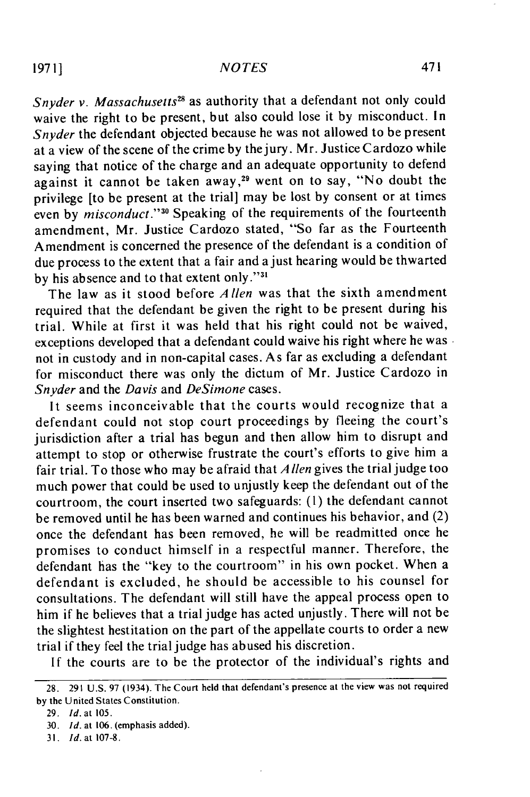## *NOTES*

Snyder *v. Massachusetts<sup>28</sup>* as authority that a defendant not only could waive the right to be present, but also could lose it by misconduct. In *Snyder* the defendant objected because he was not allowed to be present at a view of the scene of the crime by thejury. Mr. Justice Cardozo while saying that notice of the charge and an adequate opportunity to defend against it cannot be taken away,<sup>29</sup> went on to say, "No doubt the privilege [to be present at the trial] may be lost by consent or at times even by *misconduct.""0* Speaking of the requirements of the fourteenth amendment, Mr. Justice Cardozo stated, "So far as the Fourteenth Amendment is concerned the presence of the defendant is a condition of due process to the extent that a fair and a just hearing would be thwarted by his absence and to that extent only."<sup>3</sup>

The law as it stood before *Allen* was that the sixth amendment required that the defendant be given the right to be present during his trial. While at first it was held that his right could not be waived, exceptions developed that a defendant could waive his right where he was not in custody and in non-capital cases. As far as excluding a defendant for misconduct there was only the dictum of Mr. Justice Cardozo in *Snyder* and the *Davis* and *DeSimone* cases.

It seems inconceivable that the courts would recognize that a defendant could not stop court proceedings by fleeing the court's jurisdiction after a trial has begun and then allow him to disrupt and attempt to stop or otherwise frustrate the court's efforts to give him a fair trial. To those who may be afraid that *A len* gives the trial judge too much power that could be used to unjustly keep the defendant out of the courtroom, the court inserted two safeguards: **(1)** the defendant cannot be removed until he has been warned and continues his behavior, and (2) once the defendant has been removed, he will be readmitted once he promises to conduct himself in a respectful manner. Therefore, the defendant has the "key to the courtroom" in his own pocket. When a defendant is excluded, he should be accessible to his counsel for consultations. The defendant will still have the appeal process open to him if he believes that a trial judge has acted unjustly. There will not be the slightest hestitation on the part of the appellate courts to order a new trial if they feel the trial judge has abused his discretion.

If the courts are to be the protector of the individual's rights and

<sup>28. 291</sup> U.S. 97 (1934). The Court held that defendant's presence at the view was not required by the United States Constitution.

<sup>29.</sup> **Id.** at 105.

**<sup>30.</sup>** Id. at 106. (emphasis added).

*<sup>31.</sup>* **Id.** at 107-8.